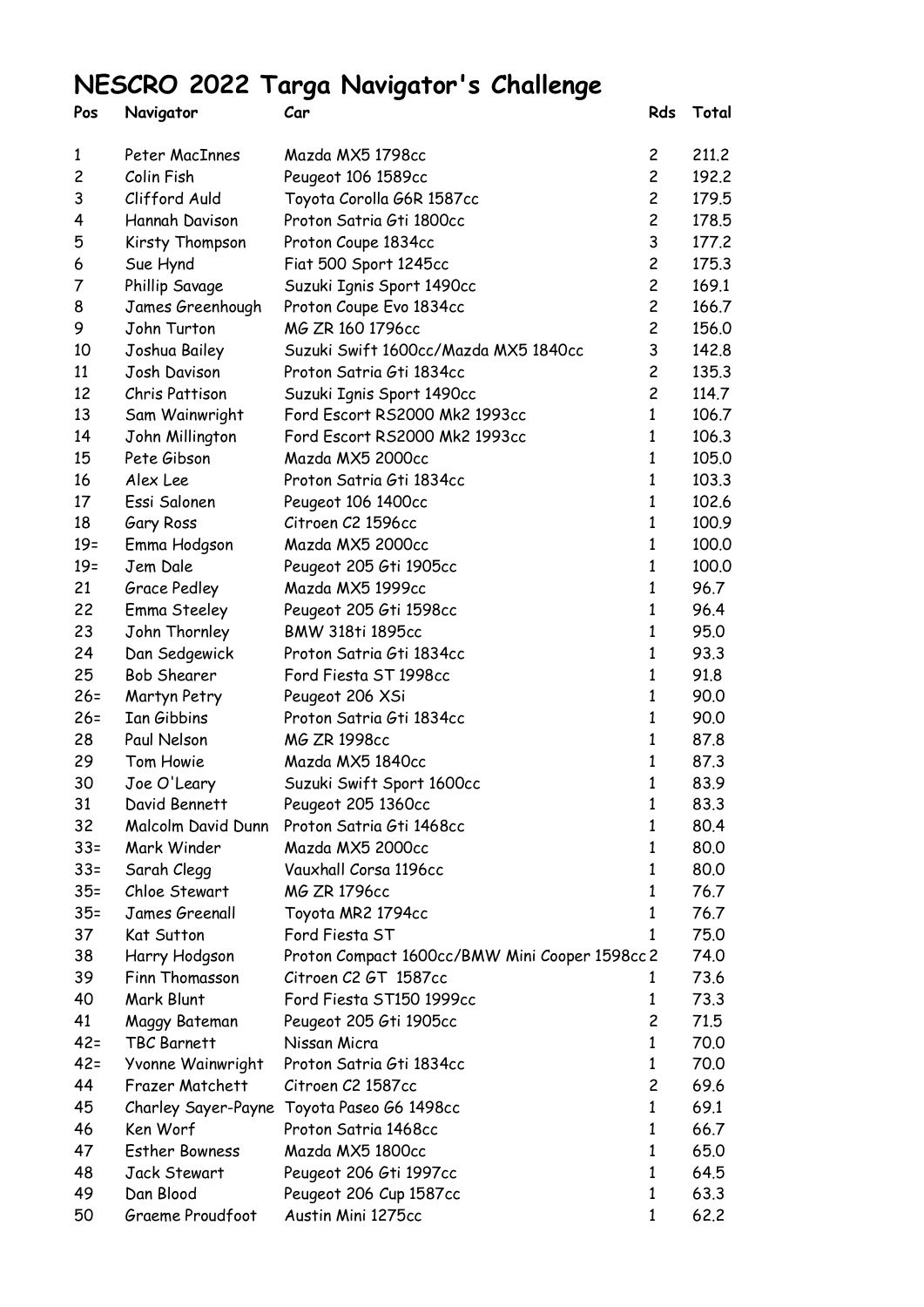## **NESCRO 2022 Targa Navigator's Challenge**

| Pos            | Navigator             | Car                                            | Rds            | Total |
|----------------|-----------------------|------------------------------------------------|----------------|-------|
| 1              | Peter MacInnes        | Mazda MX5 1798cc                               | $\mathsf{2}$   | 211.2 |
| $\overline{c}$ | Colin Fish            | Peugeot 106 1589cc                             | $\overline{c}$ | 192.2 |
| 3              | Clifford Auld         | Toyota Corolla G6R 1587cc                      | $\overline{c}$ | 179.5 |
| 4              | Hannah Davison        | Proton Satria Gti 1800cc                       | $\overline{c}$ | 178.5 |
| 5              | Kirsty Thompson       | Proton Coupe 1834cc                            | 3              | 177.2 |
| 6              | Sue Hynd              | Fiat 500 Sport 1245cc                          | $\overline{c}$ | 175.3 |
| 7              | Phillip Savage        | Suzuki Ignis Sport 1490cc                      | $\overline{c}$ | 169.1 |
| 8              | James Greenhough      | Proton Coupe Evo 1834cc                        | $\overline{c}$ | 166.7 |
| 9              | John Turton           | MG ZR 160 1796cc                               | 2              | 156.0 |
| 10             | Joshua Bailey         | Suzuki Swift 1600cc/Mazda MX5 1840cc           | 3              | 142.8 |
| 11             | Josh Davison          | Proton Satria Gti 1834cc                       | $\overline{c}$ | 135.3 |
| 12             | Chris Pattison        | Suzuki Ignis Sport 1490cc                      | 2              | 114.7 |
| 13             | Sam Wainwright        | Ford Escort RS2000 Mk2 1993cc                  | $\mathbf{1}$   | 106.7 |
| 14             | John Millington       | Ford Escort RS2000 Mk2 1993cc                  | 1              | 106.3 |
| 15             | Pete Gibson           | Mazda MX5 2000cc                               | $\mathbf{1}$   | 105.0 |
| 16             | Alex Lee              | Proton Satria Gti 1834cc                       | 1              | 103.3 |
| 17             | Essi Salonen          | Peugeot 106 1400cc                             | 1              | 102.6 |
| 18             | Gary Ross             | Citroen C2 1596cc                              | 1              | 100.9 |
| $19=$          | Emma Hodgson          | Mazda MX5 2000cc                               | 1              | 100.0 |
| $19=$          | Jem Dale              | Peugeot 205 Gti 1905cc                         | 1              | 100.0 |
| 21             | Grace Pedley          | Mazda MX5 1999cc                               | $\mathbf{1}$   | 96.7  |
| 22             | Emma Steeley          | Peugeot 205 Gti 1598cc                         | 1              | 96.4  |
| 23             | John Thornley         | <b>BMW 318ti 1895cc</b>                        | 1              | 95.0  |
| 24             | Dan Sedgewick         | Proton Satria Gti 1834cc                       | 1              | 93.3  |
| 25             | <b>Bob Shearer</b>    | Ford Fiesta ST 1998cc                          | 1              | 91.8  |
| $26 =$         | Martyn Petry          | Peugeot 206 XSi                                | 1              | 90.0  |
| $26 =$         | Ian Gibbins           | Proton Satria Gti 1834cc                       | 1              | 90.0  |
| 28             | Paul Nelson           | MG ZR 1998cc                                   | 1              | 87.8  |
| 29             | Tom Howie             | Mazda MX5 1840cc                               | 1              | 87.3  |
| 30             | Joe O'Leary           | Suzuki Swift Sport 1600cc                      | 1              | 83.9  |
| 31             | David Bennett         | Peugeot 205 1360cc                             | 1              | 83.3  |
| 32             | Malcolm David Dunn    | Proton Satria Gti 1468cc                       | 1              | 80.4  |
| $33 =$         | Mark Winder           | Mazda MX5 2000cc                               | 1              | 80.0  |
| $33 =$         | Sarah Clegg           | Vauxhall Corsa 1196cc                          | 1              | 80.0  |
| $35 =$         | Chloe Stewart         | MG ZR 1796cc                                   | 1              | 76.7  |
| $35 =$         | James Greenall        | Toyota MR2 1794cc                              | 1              | 76.7  |
| 37             | Kat Sutton            | Ford Fiesta ST                                 | 1              | 75.0  |
| 38             | Harry Hodgson         | Proton Compact 1600cc/BMW Mini Cooper 1598cc 2 |                | 74.0  |
| 39             | Finn Thomasson        | Citroen C2 GT 1587cc                           | 1              | 73.6  |
| 40             | Mark Blunt            | Ford Fiesta ST150 1999cc                       | 1              | 73.3  |
| 41             | Maggy Bateman         | Peugeot 205 Gti 1905cc                         | 2              | 71.5  |
| $42 =$         | TBC Barnett           | Nissan Micra                                   | 1              | 70.0  |
| $42 =$         | Yvonne Wainwright     | Proton Satria Gti 1834cc                       | $\mathbf{1}$   | 70.0  |
| 44             | Frazer Matchett       | Citroen C2 1587cc                              | 2              | 69.6  |
| 45             | Charley Sayer-Payne   | Toyota Paseo G6 1498cc                         | 1              | 69.1  |
| 46             | Ken Worf              | Proton Satria 1468cc                           | 1              | 66.7  |
| 47             | <b>Esther Bowness</b> | Mazda MX5 1800cc                               | 1              | 65.0  |
| 48             | Jack Stewart          | Peugeot 206 Gti 1997cc                         | 1              | 64.5  |
| 49             | Dan Blood             | Peugeot 206 Cup 1587cc                         | 1              | 63.3  |
| 50             | Graeme Proudfoot      | Austin Mini 1275cc                             | 1              | 62.2  |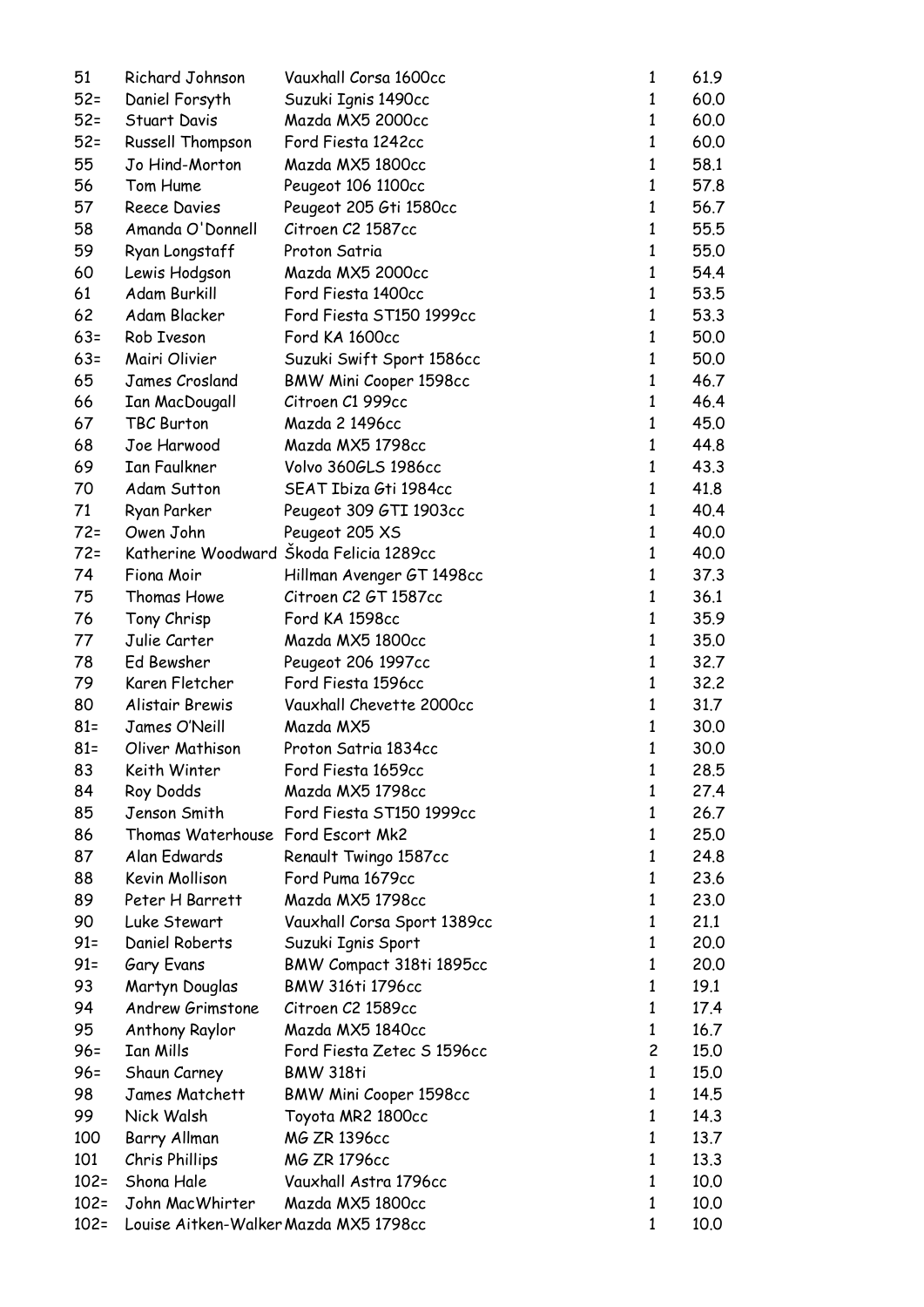| 51      | Richard Johnson                       | Vauxhall Corsa 1600cc                   | 1              | 61.9 |
|---------|---------------------------------------|-----------------------------------------|----------------|------|
| $52 =$  | Daniel Forsyth                        | Suzuki Ignis 1490cc                     | 1              | 60.0 |
| $52 =$  | Stuart Davis                          | Mazda MX5 2000cc                        | $\mathbf{1}$   | 60.0 |
| $52 =$  | Russell Thompson                      | Ford Fiesta 1242cc                      | $\mathbf{1}$   | 60.0 |
| 55      | Jo Hind-Morton                        | Mazda MX5 1800cc                        | $\mathbf{1}$   | 58.1 |
| 56      | Tom Hume                              | Peugeot 106 1100cc                      | 1              | 57.8 |
| 57      | Reece Davies                          | Peugeot 205 Gti 1580cc                  | $\mathbf{1}$   | 56.7 |
| 58      | Amanda O'Donnell                      | Citroen C2 1587cc                       | $\mathbf{1}$   | 55.5 |
| 59      | Ryan Longstaff                        | Proton Satria                           | $\mathbf{1}$   | 55.0 |
| 60      | Lewis Hodgson                         | Mazda MX5 2000cc                        | $\mathbf{1}$   | 54.4 |
| 61      | Adam Burkill                          | Ford Fiesta 1400cc                      | $\mathbf{1}$   | 53.5 |
| 62      | Adam Blacker                          | Ford Fiesta ST150 1999cc                | 1              | 53.3 |
| $63=$   | Rob Iveson                            | Ford KA 1600cc                          | $\mathbf{1}$   | 50.0 |
| $63=$   | Mairi Olivier                         | Suzuki Swift Sport 1586cc               | $\mathbf{1}$   | 50.0 |
| 65      | James Crosland                        | BMW Mini Cooper 1598cc                  | 1              | 46.7 |
| 66      | <b>Ian MacDougall</b>                 | Citroen C1 999cc                        | $\mathbf{1}$   | 46.4 |
| 67      | TBC Burton                            | Mazda 2 1496cc                          | 1              | 45.0 |
| 68      | Joe Harwood                           | Mazda MX5 1798cc                        | 1              | 44.8 |
| 69      | <b>Ian Faulkner</b>                   | Volvo 360GLS 1986cc                     | 1              | 43.3 |
| 70      | Adam Sutton                           | SEAT Ibiza Gti 1984cc                   | 1              | 41.8 |
| 71      | Ryan Parker                           | Peugeot 309 GTI 1903cc                  | 1              | 40.4 |
| $72 =$  | Owen John                             | Peugeot 205 XS                          | $\mathbf{1}$   | 40.0 |
| $72 =$  |                                       | Katherine Woodward Škoda Felicia 1289cc | 1              | 40.0 |
| 74      | Fiona Moir                            | Hillman Avenger GT 1498cc               | 1              | 37.3 |
| 75      | Thomas Howe                           | Citroen C2 GT 1587cc                    | $\mathbf{1}$   | 36.1 |
| 76      | Tony Chrisp                           | Ford KA 1598cc                          | $\mathbf{1}$   | 35.9 |
| 77      | Julie Carter                          | Mazda MX5 1800cc                        | $\mathbf{1}$   | 35.0 |
| 78      | Ed Bewsher                            | Peugeot 206 1997cc                      | $\mathbf{1}$   | 32.7 |
| 79      | Karen Fletcher                        | Ford Fiesta 1596cc                      | $\mathbf{1}$   | 32.2 |
| 80      | Alistair Brewis                       | Vauxhall Chevette 2000cc                | $\mathbf{1}$   | 31.7 |
| $81 =$  | James O'Neill                         | Mazda MX5                               | 1              | 30.0 |
| $81 =$  | Oliver Mathison                       | Proton Satria 1834cc                    | 1              | 30.0 |
| 83      | Keith Winter                          | Ford Fiesta 1659cc                      | 1              | 28.5 |
| 84      | Roy Dodds                             | Mazda MX5 1798cc                        | 1              | 27.4 |
| 85      | Jenson Smith                          | Ford Fiesta ST150 1999cc                | 1              | 26.7 |
| 86      | Thomas Waterhouse Ford Escort Mk2     |                                         | 1              | 25.0 |
| 87      | Alan Edwards                          | Renault Twingo 1587cc                   | 1              | 24.8 |
| 88      | Kevin Mollison                        | Ford Puma 1679cc                        | 1              | 23.6 |
| 89      | Peter H Barrett                       | Mazda MX5 1798cc                        | 1              | 23.0 |
| 90      | Luke Stewart                          | Vauxhall Corsa Sport 1389cc             | 1              | 21.1 |
| $91 =$  | Daniel Roberts                        | Suzuki Ignis Sport                      | 1              | 20.0 |
| $91 =$  | Gary Evans                            | BMW Compact 318ti 1895cc                | 1              | 20.0 |
| 93      | Martyn Douglas                        | <b>BMW 316ti 1796cc</b>                 | 1              | 19.1 |
| 94      | Andrew Grimstone                      | Citroen C2 1589cc                       | 1              | 17.4 |
| 95      | Anthony Raylor                        | Mazda MX5 1840cc                        | 1              | 16.7 |
| $96 =$  | Ian Mills                             | Ford Fiesta Zetec S 1596cc              | $\overline{c}$ | 15.0 |
| $96 =$  | Shaun Carney                          | <b>BMW 318ti</b>                        | 1              | 15.0 |
| 98      | James Matchett                        | BMW Mini Cooper 1598cc                  | 1              | 14.5 |
| 99      | Nick Walsh                            | Toyota MR2 1800cc                       | 1              | 14.3 |
| 100     | Barry Allman                          | MG ZR 1396cc                            | 1              | 13.7 |
| 101     | Chris Phillips                        | MG ZR 1796cc                            | 1              | 13.3 |
| $102 =$ | Shona Hale                            | Vauxhall Astra 1796cc                   | 1              | 10.0 |
| $102 =$ | John MacWhirter                       | Mazda MX5 1800cc                        | $\mathbf{1}$   | 10.0 |
| $102 =$ | Louise Aitken-Walker Mazda MX5 1798cc |                                         | 1              | 10.0 |
|         |                                       |                                         |                |      |